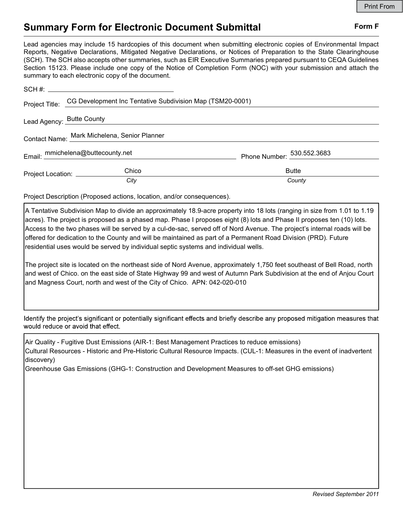## Summary Form for Electronic Document Submittal Form F

Lead agencies may include 15 hardcopies of this document when submitting electronic copies of Environmental Impact Reports, Negative Declarations, Mitigated Negative Declarations, or Notices of Preparation to the State Clearinghouse (SCH). The SCH also accepts other summaries, such as EIR Executive Summaries prepared pursuant to CEQA Guidelines Section 15123. Please include one copy of the Notice of Completion Form (NOC) with your submission and attach the summary to each electronic copy of the document.

|                                                                  | Project Title: CG Development Inc Tentative Subdivision Map (TSM20-0001) |                            |
|------------------------------------------------------------------|--------------------------------------------------------------------------|----------------------------|
| Lead Agency: Butte County entries and Agency: Alternative County |                                                                          |                            |
|                                                                  | Contact Name: Mark Michelena, Senior Planner                             |                            |
| Email: mmichelena@buttecounty.net                                |                                                                          | Phone Number: 530.552.3683 |
| Project Location: ___________                                    | Chico                                                                    | <b>Butte</b>               |
|                                                                  | City                                                                     | County                     |

Project Description (Proposed actions, location, and/or consequences).

A Tentative Subdivision Map to divide an approximately 18.9-acre property into 18 lots (ranging in size from 1.01 to 1.19 acres). The project is proposed as a phased map. Phase I proposes eight (8) lots and Phase II proposes ten (10) lots. Access to the two phases will be served by a cul-de-sac, served off of Nord Avenue. The project's internal roads will be offered for dedication to the County and will be maintained as part of a Permanent Road Division (PRD). Future residential uses would be served by individual septic systems and individual wells.

The project site is located on the northeast side of Nord Avenue, approximately 1,750 feet southeast of Bell Road, north and west of Chico. on the east side of State Highway 99 and west of Autumn Park Subdivision at the end of Anjou Court and Magness Court, north and west of the City of Chico. APN: 042-020-010

Identify the project's significant or potentially significant effects and briefly describe any proposed mitigation measures that would reduce or avoid that effect.

Air Quality - Fugitive Dust Emissions (AIR-1: Best Management Practices to reduce emissions) Cultural Resources - Historic and Pre-Historic Cultural Resource Impacts. (CUL-1: Measures in the event of inadvertent discovery)

Greenhouse Gas Emissions (GHG-1: Construction and Development Measures to off-set GHG emissions)